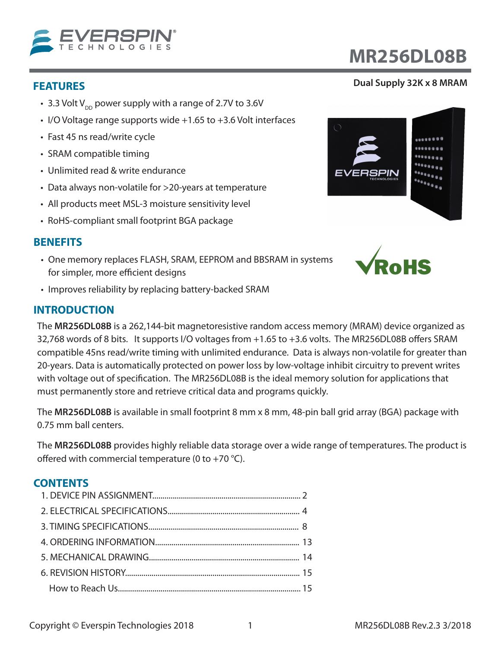

- 3.3 Volt  $V_{DD}$  power supply with a range of 2.7V to 3.6V
- I/O Voltage range supports wide +1.65 to +3.6 Volt interfaces
- Fast 45 ns read/write cycle
- SRAM compatible timing
- Unlimited read & write endurance
- Data always non-volatile for >20-years at temperature
- All products meet MSL-3 moisture sensitivity level
- RoHS-compliant small footprint BGA package

### **BENEFITS**

- One memory replaces FLASH, SRAM, EEPROM and BBSRAM in systems for simpler, more efficient designs
- Improves reliability by replacing battery-backed SRAM

### **INTRODUCTION**

The **MR256DL08B** is a 262,144-bit magnetoresistive random access memory (MRAM) device organized as 32,768 words of 8 bits. It supports I/O voltages from +1.65 to +3.6 volts. The MR256DL08B offers SRAM compatible 45ns read/write timing with unlimited endurance. Data is always non-volatile for greater than 20-years. Data is automatically protected on power loss by low-voltage inhibit circuitry to prevent writes with voltage out of specification. The MR256DL08B is the ideal memory solution for applications that must permanently store and retrieve critical data and programs quickly.

The **MR256DL08B** is available in small footprint 8 mm x 8 mm, 48-pin ball grid array (BGA) package with 0.75 mm ball centers.

The **MR256DL08B** provides highly reliable data storage over a wide range of temperatures. The product is offered with commercial temperature (0 to +70 °C).

#### **CONTENTS**

# **MR256DL08B**

#### **FEATURES Dual Supply 32K x 8 MRAM**



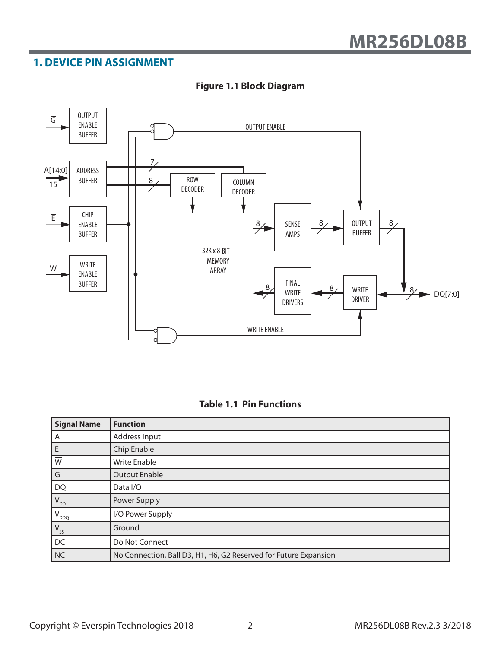## **1. DEVICE PIN ASSIGNMENT**



#### **Figure 1.1 Block Diagram**

| <b>Signal Name</b>        | <b>Function</b>                                                  |
|---------------------------|------------------------------------------------------------------|
| A                         | Address Input                                                    |
| $\overline{E}$            | Chip Enable                                                      |
| $\overline{\overline{W}}$ | <b>Write Enable</b>                                              |
| $\overline{G}$            | <b>Output Enable</b>                                             |
| <b>DQ</b>                 | Data I/O                                                         |
| $V_{DD}$                  | Power Supply                                                     |
| $'V_{DDQ}$                | I/O Power Supply                                                 |
| $V_{SS}$                  | Ground                                                           |
| DC                        | Do Not Connect                                                   |
| NC                        | No Connection, Ball D3, H1, H6, G2 Reserved for Future Expansion |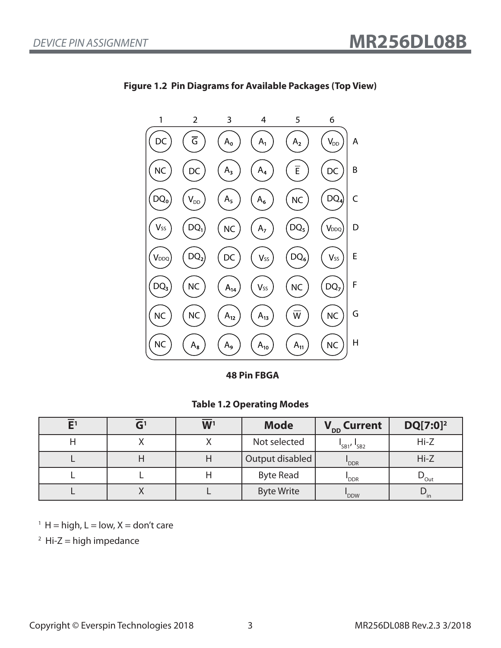

**Figure 1.2 Pin Diagrams for Available Packages (Top View)**

**48 Pin FBGA**

#### **Table 1.2 Operating Modes**

| ${\sf E}^1$ |           | W <sup>1</sup> | <b>Mode</b>       | V <sub>DD</sub> Current           | $DQ[7:0]^2$              |
|-------------|-----------|----------------|-------------------|-----------------------------------|--------------------------|
|             |           |                | Not selected      | $\frac{1}{5B1}$ , $\frac{1}{5B2}$ | $Hi-Z$                   |
|             |           |                | Output disabled   | 'DDR                              | $Hi-Z$                   |
|             |           |                | <b>Byte Read</b>  | 'DDR                              | $\nu_{\text{Out}}$       |
|             | $\lambda$ |                | <b>Byte Write</b> | 'DDW                              | $\mathbf{v}_{\text{in}}$ |

 $1 H = high, L = low, X = don't care$ 

 $2$  Hi-Z = high impedance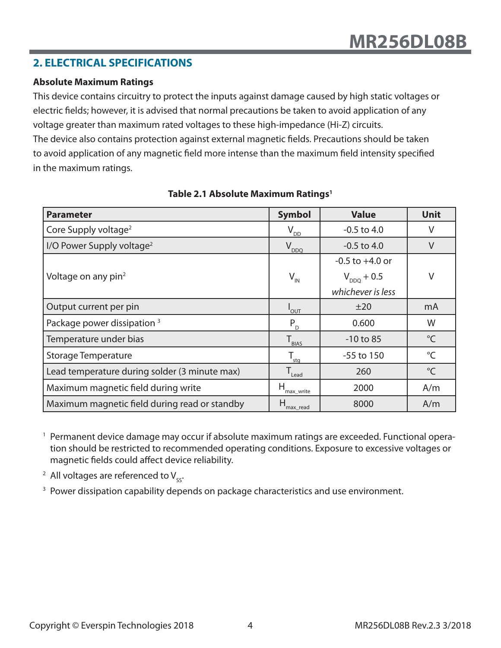### **2. ELECTRICAL SPECIFICATIONS**

#### **Absolute Maximum Ratings**

This device contains circuitry to protect the inputs against damage caused by high static voltages or electric fields; however, it is advised that normal precautions be taken to avoid application of any voltage greater than maximum rated voltages to these high-impedance (Hi-Z) circuits. The device also contains protection against external magnetic fields. Precautions should be taken to avoid application of any magnetic field more intense than the maximum field intensity specified in the maximum ratings.

| <b>Parameter</b>                              | <b>Symbol</b>                | <b>Value</b>        | <b>Unit</b>     |
|-----------------------------------------------|------------------------------|---------------------|-----------------|
| Core Supply voltage <sup>2</sup>              | $V_{\underline{DD}}$         | $-0.5$ to 4.0       | V               |
| I/O Power Supply voltage <sup>2</sup>         | $V_{DDQ}$                    | $-0.5$ to 4.0       | V               |
|                                               |                              | $-0.5$ to $+4.0$ or |                 |
| Voltage on any pin <sup>2</sup>               | $V_{\text{IN}}$              | $V_{DDQ}$ + 0.5     | V               |
|                                               |                              | whichever is less   |                 |
| Output current per pin                        | <b>OUT</b>                   | ±20                 | mA              |
| Package power dissipation <sup>3</sup>        | $P_{D}$                      | 0.600               | W               |
| Temperature under bias                        | $T_{\text{BLAS}}$            | $-10$ to 85         | $\rm ^{\circ}C$ |
| <b>Storage Temperature</b>                    | $T_{\underline{\text{stq}}}$ | $-55$ to 150        | $^{\circ}$ C    |
| Lead temperature during solder (3 minute max) | $T_{\text{lead}}$            | 260                 | $\rm ^{\circ}C$ |
| Maximum magnetic field during write           | н<br>max_write               | 2000                | A/m             |
| Maximum magnetic field during read or standby | Н<br>max read                | 8000                | A/m             |

#### **Table 2.1 Absolute Maximum Ratings1**

<sup>1</sup> Permanent device damage may occur if absolute maximum ratings are exceeded. Functional operation should be restricted to recommended operating conditions. Exposure to excessive voltages or magnetic fields could affect device reliability.

<sup>2</sup> All voltages are referenced to  $V_{ss}$ .

<sup>3</sup> Power dissipation capability depends on package characteristics and use environment.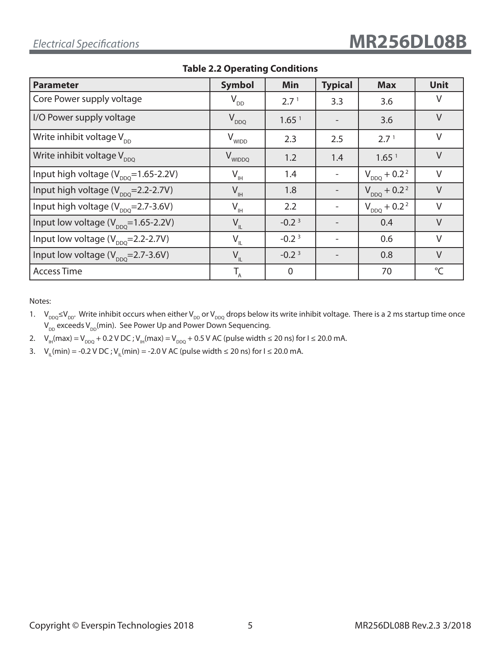| <b>Parameter</b>                               | <b>Symbol</b>                  | Min               | <b>Typical</b> | <b>Max</b>                   | <b>Unit</b> |
|------------------------------------------------|--------------------------------|-------------------|----------------|------------------------------|-------------|
| Core Power supply voltage                      | $V_{DD}$                       | 2.7 <sup>1</sup>  | 3.3            | 3.6                          | V           |
| I/O Power supply voltage                       | $V_{DDQ}$                      | 1.65 <sup>1</sup> |                | 3.6                          | $\vee$      |
| Write inhibit voltage $V_{DD}$                 | V <sub>WIDD</sub>              | 2.3               | 2.5            | 2.7 <sup>1</sup>             | $\vee$      |
| Write inhibit voltage $V_{DDQ}$                | V <sub>WIDDQ</sub>             | 1.2               | 1.4            | 1.65 <sup>1</sup>            | $\vee$      |
| Input high voltage $(V_{DDO} = 1.65 - 2.2V)$   | $V_{\scriptscriptstyle\rm IH}$ | 1.4               |                | $V_{DDQ}$ + 0.2 <sup>2</sup> | $\vee$      |
| Input high voltage $(V_{DDO} = 2.2 - 2.7V)$    | $V_{\rm IH}$                   | 1.8               |                | $V_{DDQ}$ + 0.2 <sup>2</sup> | $\vee$      |
| Input high voltage $(V_{\text{DDO}}=2.7-3.6V)$ | $V_{\rm IH}$                   | 2.2               |                | $V_{DDQ} + 0.2^2$            | $\vee$      |
| Input low voltage $(V_{DDO} = 1.65 - 2.2V)$    | $V_{\text{IL}}$                | $-0.23$           |                | 0.4                          | $\vee$      |
| Input low voltage $(V_{\text{DDO}}=2.2-2.7V)$  | $V_{IL}$                       | $-0.23$           |                | 0.6                          | $\vee$      |
| Input low voltage $(V_{\text{DDO}}=2.7-3.6V)$  | $V_{IL}$                       | $-0.23$           |                | 0.8                          | $\vee$      |
| <b>Access Time</b>                             | $T_{A}$                        | $\overline{0}$    |                | 70                           | $^{\circ}C$ |

**Table 2.2 Operating Conditions**

Notes:

- 1.  $V_{DDQ} \le V_{DD}$ . Write inhibit occurs when either  $V_{DD}$  or  $V_{DDQ}$  drops below its write inhibit voltage. There is a 2 ms startup time once  $V_{DD}$  exceeds  $V_{DD}$ (min). See Power Up and Power Down Sequencing.
- 2.  $V_{\text{H}}(\text{max}) = V_{\text{DDQ}} + 0.2 \text{ V DC}$ ;  $V_{\text{H}}(\text{max}) = V_{\text{DDQ}} + 0.5 \text{ V AC}$  (pulse width  $\leq 20 \text{ ns}$ ) for  $I \leq 20.0 \text{ mA}$ .
- 3. V<sub>II</sub>(min) = -0.2 V DC ; V<sub>II</sub>(min) = -2.0 V AC (pulse width ≤ 20 ns) for I ≤ 20.0 mA.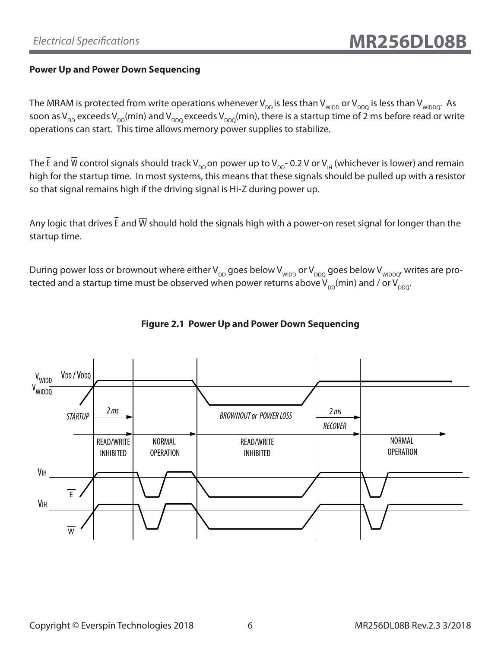#### **Power Up and Power Down Sequencing**

The MRAM is protected from write operations whenever  $V_{DD}$  is less than  $V_{WIDDQ}$  or  $V_{DDQ}$  is less than  $V_{WIDDO}$ . As soon as  $V_{DD}$  exceeds  $V_{DD}(min)$  and  $V_{DDQ}$  exceeds  $V_{DDQ}(min)$ , there is a startup time of 2 ms before read or write operations can start. This time allows memory power supplies to stabilize.

The  $\bar{E}$  and  $\bar{W}$  control signals should track V<sub>DD</sub> on power up to V<sub>DD</sub>- 0.2 V or V<sub>IH</sub> (whichever is lower) and remain high for the startup time. In most systems, this means that these signals should be pulled up with a resistor so that signal remains high if the driving signal is Hi-Z during power up.

Any logic that drives  $\bar{E}$  and  $\bar{W}$  should hold the signals high with a power-on reset signal for longer than the startup time.

During power loss or brownout where either  $V_{DD}$  goes below  $V_{WDDQ}$  are  $V_{DDQQ}$  goes below  $V_{WDDQQ'}$  writes are protected and a startup time must be observed when power returns above  $V_{\text{DD}}(min)$  and / or  $V_{\text{DDQ}}$ .



### **Figure 2.1 Power Up and Power Down Sequencing**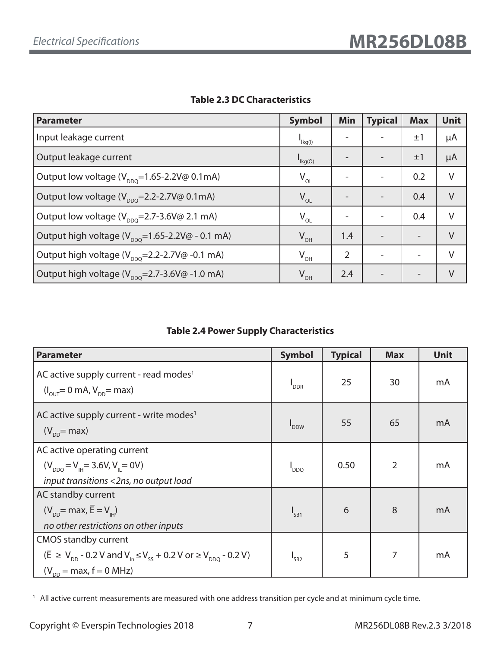| <b>Parameter</b>                                                               | <b>Symbol</b>                          | Min | <b>Typical</b> | <b>Max</b>               | <b>Unit</b> |
|--------------------------------------------------------------------------------|----------------------------------------|-----|----------------|--------------------------|-------------|
| Input leakage current                                                          | $I_{\text{lkg(l)}}$                    |     |                | $\pm 1$                  | μA          |
| Output leakage current                                                         | $\mathsf{I}_{\mathsf{Kg}(\mathsf{O})}$ |     |                | $\pm 1$                  | μA          |
| Output low voltage (V <sub>DDO</sub> =1.65-2.2V@ 0.1mA)                        | $V_{OL}$                               |     |                | 0.2                      | V           |
| Output low voltage $(V_{\text{DDO}}=2.2-2.7V\textcircled{a} 0.1mA)$            | $V_{OL}$                               |     |                | 0.4                      | $\vee$      |
| Output low voltage ( $V_{\text{DDO}}$ =2.7-3.6V@ 2.1 mA)                       | $V_{OL}$                               |     |                | 0.4                      | V           |
| Output high voltage ( $V_{\text{DDO}}$ =1.65-2.2V@ - 0.1 mA)                   | $V_{OH}$                               | 1.4 |                | $\overline{\phantom{0}}$ | $\vee$      |
| Output high voltage $(V_{\text{DDO}}=2.2-2.7V\textcircled{a} -0.1 \text{ mA})$ | $V_{OH}$                               | 2   |                | $\overline{\phantom{0}}$ | V           |
| Output high voltage $(V_{\text{pno}}=2.7-3.6V\textcircled{a} -1.0 \text{ mA})$ | $V_{OH}$                               | 2.4 |                | $\overline{\phantom{0}}$ | V           |

#### **Table 2.3 DC Characteristics**

#### **Table 2.4 Power Supply Characteristics**

| <b>Parameter</b>                                                                                                                                                                                                           | <b>Symbol</b>               | <b>Typical</b> | <b>Max</b> | <b>Unit</b> |
|----------------------------------------------------------------------------------------------------------------------------------------------------------------------------------------------------------------------------|-----------------------------|----------------|------------|-------------|
| AC active supply current - read modes <sup>1</sup><br>$(I_{\text{out}} = 0 \text{ mA}, V_{\text{on}} = \text{max})$                                                                                                        | $\mathsf{I}_{\mathsf{DDR}}$ | 25             | 30         | mA          |
| AC active supply current - write modes <sup>1</sup><br>$(V_{\text{DD}}$ = max)                                                                                                                                             | <b>DDW</b>                  | 55             | 65         | mA          |
| AC active operating current<br>$(V_{DDO} = V_{\mu} = 3.6 V, V_{\mu} = 0 V)$<br>input transitions <2ns, no output load                                                                                                      | $I_{DDQ}$                   | 0.50           | 2          | mA          |
| AC standby current<br>$(V_{\text{DD}}$ = max, $\overline{E} = V_{\text{H}}$<br>no other restrictions on other inputs                                                                                                       | $I_{SB1}$                   | 6              | 8          | mA          |
| <b>CMOS standby current</b><br>$(\overline{E} \ge V_{\text{nn}} - 0.2 V \text{ and } V_{\text{in}} \le V_{\text{ss}} + 0.2 V \text{ or } \ge V_{\text{non}} - 0.2 V)$<br>$(V_{\text{DD}} = \text{max}, f = 0 \text{ MHz})$ | $I_{SB2}$                   | 5              | 7          | mA          |

<sup>1</sup> All active current measurements are measured with one address transition per cycle and at minimum cycle time.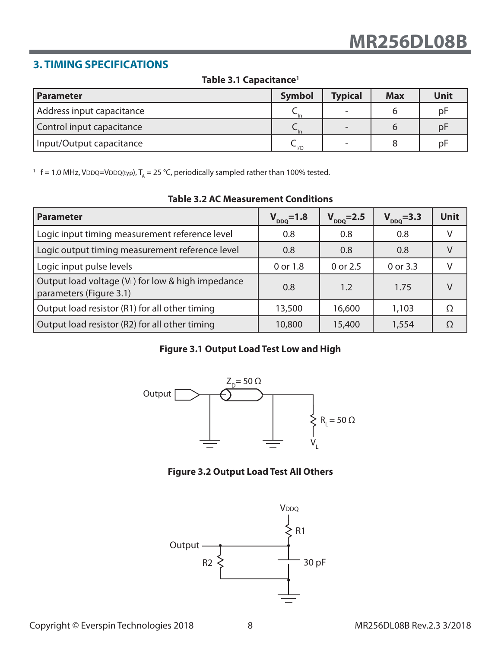# **3. TIMING SPECIFICATIONS**

#### **Table 3.1 Capacitance1**

| I Parameter               | <b>Symbol</b> | <b>Typical</b> | <b>Max</b> | Unit |
|---------------------------|---------------|----------------|------------|------|
| Address input capacitance |               |                |            | pF   |
| Control input capacitance |               |                |            | pF   |
| Input/Output capacitance  | $\sim$ $1/0$  |                |            | рF   |

<sup>1</sup> f = 1.0 MHz, VDDQ=VDDQ(typ),  $T_A$  = 25 °C, periodically sampled rather than 100% tested.

| <b>Parameter</b>                                                             | $V_{DDQ} = 1.8$ | $V_{DDQ} = 2.5$ | $V_{DDQ} = 3.3$ | Unit |
|------------------------------------------------------------------------------|-----------------|-----------------|-----------------|------|
| Logic input timing measurement reference level                               | 0.8             | 0.8             | 0.8             |      |
| Logic output timing measurement reference level                              | 0.8             | 0.8             | 0.8             |      |
| Logic input pulse levels                                                     | 0 or 1.8        | 0 or 2.5        | 0 or 3.3        |      |
| Output load voltage (VL) for low & high impedance<br>parameters (Figure 3.1) | 0.8             | 1.2             | 1.75            |      |
| Output load resistor (R1) for all other timing                               | 13,500          | 16,600          | 1,103           | O    |
| Output load resistor (R2) for all other timing                               | 10,800          | 15,400          | 1,554           |      |

#### **Table 3.2 AC Measurement Conditions**

#### **Figure 3.1 Output Load Test Low and High**



#### **Figure 3.2 Output Load Test All Others**

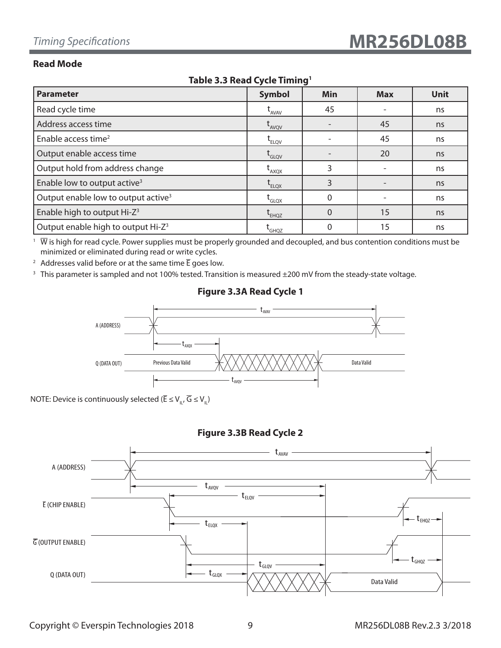#### **Read Mode**

| $1801C$ $313$ $11200C$ $C$ $C1C$ $1111111Q$     |                                                  |             |            |             |  |  |  |  |
|-------------------------------------------------|--------------------------------------------------|-------------|------------|-------------|--|--|--|--|
| <b>Parameter</b>                                | <b>Symbol</b>                                    | Min         | <b>Max</b> | <b>Unit</b> |  |  |  |  |
| Read cycle time                                 | $t_{AVAV}$                                       | 45          |            | ns          |  |  |  |  |
| Address access time                             | $L$ <sub>AVQV</sub>                              |             | 45         | ns          |  |  |  |  |
| Enable access time <sup>2</sup>                 | $t_{ELOV}$                                       |             | 45         | ns          |  |  |  |  |
| Output enable access time                       | $t_{\text{\tiny{GLQV}}}$                         |             | 20         | ns          |  |  |  |  |
| Output hold from address change                 | $L_{AXQX}$                                       | 3           |            | ns          |  |  |  |  |
| Enable low to output active <sup>3</sup>        | $\operatorname{\mathsf{t}}_{\text{\tiny{ELQX}}}$ | 3           |            | ns          |  |  |  |  |
| Output enable low to output active <sup>3</sup> | $\mathsf{t}_{\mathsf{GLQX}}$                     | $\mathbf 0$ |            | ns          |  |  |  |  |
| Enable high to output Hi-Z <sup>3</sup>         | $\tau$ <sub>EHQZ</sub>                           | $\Omega$    | 15         | ns          |  |  |  |  |
| Output enable high to output Hi-Z <sup>3</sup>  | <b>GHQZ</b>                                      | 0           | 15         | ns          |  |  |  |  |

#### **Table 3.3 Read Cycle Timing1**

 $1\;\overline{W}$  is high for read cycle. Power supplies must be properly grounded and decoupled, and bus contention conditions must be minimized or eliminated during read or write cycles.

<sup>2</sup> Addresses valid before or at the same time  $\overline{E}$  goes low.

<sup>3</sup> This parameter is sampled and not 100% tested. Transition is measured ±200 mV from the steady-state voltage.

# A (ADDRESS) Q (DATA OUT)  $t_{AVAV}$  $t_{A}^{\phantom{\dag}}$ tavqv Previous Data Valid  $\mathcal{X} \times \mathcal{Y} \times \mathcal{Y} \times \mathcal{Y} \times \mathcal{Y} \times \mathcal{Y} \times \mathcal{Y} \times \mathcal{Y}$  Data Valid

#### **Figure 3.3A Read Cycle 1**

NOTE: Device is continuously selected ( $\overline{\mathsf{E}} \leq \mathsf{V}_{\shortparallel}$ ,  $\overline{\mathsf{G}} \leq \mathsf{V}_{\shortparallel}$ )

### **Figure 3.3B Read Cycle 2**

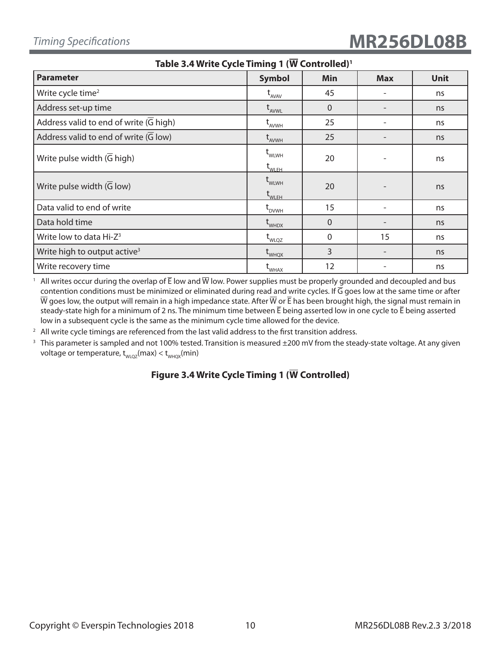| <u>1991 - See Mille Cycle Hilling I (M. Collection</u> |                                                                                                |              |            |             |  |  |  |
|--------------------------------------------------------|------------------------------------------------------------------------------------------------|--------------|------------|-------------|--|--|--|
| <b>Parameter</b>                                       | <b>Symbol</b>                                                                                  | Min          | <b>Max</b> | <b>Unit</b> |  |  |  |
| Write cycle time <sup>2</sup>                          | $t_{AVAV}$                                                                                     | 45           |            | ns          |  |  |  |
| Address set-up time                                    | $t_{AVWL}$                                                                                     | $\Omega$     |            | ns          |  |  |  |
| Address valid to end of write $(G$ high)               | L <sub>AVWH</sub>                                                                              | 25           |            | ns          |  |  |  |
| Address valid to end of write $(\overline{G}$ low)     | $t_{AVWH}$                                                                                     | 25           |            | ns          |  |  |  |
| Write pulse width $(\overline{G}$ high)                | $t_{\text{WLWH}}$<br>$\mathsf{t}_{\mathsf{WLEH}}$                                              | 20           |            | ns          |  |  |  |
| Write pulse width $(\overline{G}$ low)                 | $\operatorname{\mathsf{t}}_{\operatorname{\mathsf{WLWH}}}$<br>$\operatorname{t}_{\text{WLEH}}$ | 20           |            | ns          |  |  |  |
| Data valid to end of write                             | $\mathfrak{r}_{_{\rm{DVWH}}}$                                                                  | 15           |            | ns          |  |  |  |
| Data hold time                                         | $t_{\text{whDX}}$                                                                              | $\Omega$     |            | ns          |  |  |  |
| Write low to data Hi-Z <sup>3</sup>                    | $t_{\text{WLQZ}}$                                                                              | $\mathbf{0}$ | 15         | ns          |  |  |  |
| Write high to output active <sup>3</sup>               | $t_{\text{WHQX}}$                                                                              | 3            |            | ns          |  |  |  |
| Write recovery time                                    | <b>L</b> WHAX                                                                                  | 12           |            | ns          |  |  |  |

**Table 3.4 Write Cycle Timing 1 (W Controlled)1**

<sup>1</sup> All writes occur during the overlap of  $\bar{E}$  low and  $\overline{W}$  low. Power supplies must be properly grounded and decoupled and bus contention conditions must be minimized or eliminated during read and write cycles. If  $\overline{G}$  goes low at the same time or after  $\overline{W}$  goes low, the output will remain in a high impedance state. After  $\overline{W}$  or  $\overline{E}$  has been brought high, the signal must remain in steady-state high for a minimum of 2 ns. The minimum time between  $\bar{E}$  being asserted low in one cycle to  $\bar{E}$  being asserted low in a subsequent cycle is the same as the minimum cycle time allowed for the device.

 $2$  All write cycle timings are referenced from the last valid address to the first transition address.

<sup>3</sup> This parameter is sampled and not 100% tested. Transition is measured ±200 mV from the steady-state voltage. At any given voltage or temperature,  $t_{WLOZ}(max) < t_{WHOX}(min)$ 

#### **Figure 3.4 Write Cycle Timing 1 (W Controlled)**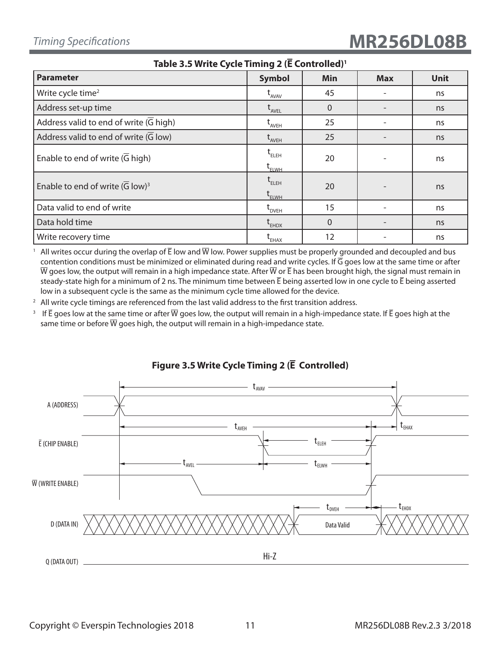| (400)                                                      |                                                                                                      |                |            |             |  |  |
|------------------------------------------------------------|------------------------------------------------------------------------------------------------------|----------------|------------|-------------|--|--|
| <b>Parameter</b>                                           | <b>Symbol</b>                                                                                        | Min            | <b>Max</b> | <b>Unit</b> |  |  |
| Write cycle time <sup>2</sup>                              | $t_{AVAV}$                                                                                           | 45             |            | ns          |  |  |
| Address set-up time                                        | $t_{AVEL}$                                                                                           | $\overline{0}$ |            | ns          |  |  |
| Address valid to end of write $(\overline{G}$ high)        | $t_{AVEH}$                                                                                           | 25             |            | ns          |  |  |
| Address valid to end of write $(\overline{G} \text{ low})$ | $t_{AVEH}$                                                                                           | 25             |            | ns          |  |  |
| Enable to end of write $(\overline{G}$ high)               | $\mathfrak{t}_{\scriptscriptstyle\mathrm{ELEH}}$<br>$\operatorname{t}_{\scriptscriptstyle \rm ELWH}$ | 20             |            | ns          |  |  |
| Enable to end of write $(\overline{G} \text{ low})^3$      | $t_{ELEH}$<br>$\operatorname{\mathsf{t}}_{\scriptscriptstyle\mathsf{ELWH}}$                          | 20             |            | ns          |  |  |
| Data valid to end of write                                 | $\operatorname{t}_{\text{\tiny{DVEH}}}$                                                              | 15             |            | ns          |  |  |
| Data hold time                                             | $t_{EHDX}$                                                                                           | $\overline{0}$ |            | ns          |  |  |
| Write recovery time                                        | $\mathsf{t}_{\mathsf{E}\textsf{H}\textsf{A}\textsf{X}}$                                              | 12             |            | ns          |  |  |

**Table 3.5 Write Cycle Timing 2 (E Controlled)1**

<sup>1</sup> All writes occur during the overlap of  $\overline{E}$  low and  $\overline{W}$  low. Power supplies must be properly grounded and decoupled and bus contention conditions must be minimized or eliminated during read and write cycles. If  $\overline{G}$  goes low at the same time or after  $\overline{W}$  goes low, the output will remain in a high impedance state. After  $\overline{W}$  or  $\overline{E}$  has been brought high, the signal must remain in steady-state high for a minimum of 2 ns. The minimum time between  $\bar{E}$  being asserted low in one cycle to  $\bar{E}$  being asserted low in a subsequent cycle is the same as the minimum cycle time allowed for the device.

 $2$  All write cycle timings are referenced from the last valid address to the first transition address.

<sup>3</sup> If  $\bar{E}$  goes low at the same time or after  $\bar{W}$  goes low, the output will remain in a high-impedance state. If  $\bar{E}$  goes high at the same time or before  $\overline{W}$  goes high, the output will remain in a high-impedance state.



### **Figure 3.5 Write Cycle Timing 2 (E Controlled)**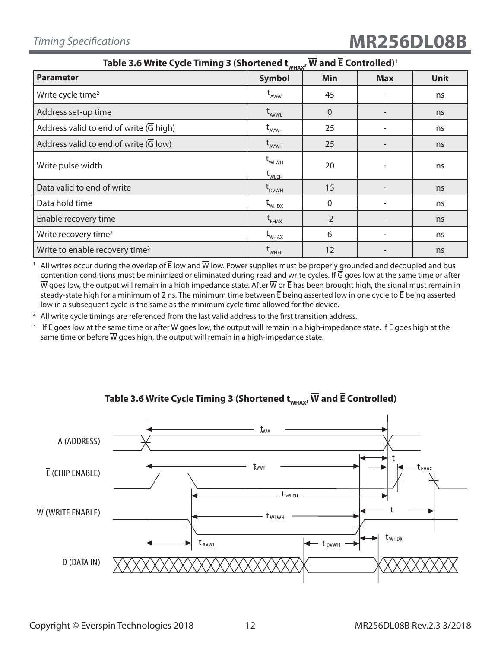# *Timing Specifications* **MR256DL08B**

| Table 3.6 Write Cycle Timing 3 (Shortened $t_{\text{whax}}$ , W and E Controlled) <sup>1</sup> |                                                       |                |            |             |  |  |
|------------------------------------------------------------------------------------------------|-------------------------------------------------------|----------------|------------|-------------|--|--|
| <b>Parameter</b>                                                                               | <b>Symbol</b>                                         | Min            | <b>Max</b> | <b>Unit</b> |  |  |
| Write cycle time <sup>2</sup>                                                                  | $t_{AVAV}$                                            | 45             |            | ns          |  |  |
| Address set-up time                                                                            | $t_{AVWL}$                                            | $\overline{0}$ |            | ns          |  |  |
| Address valid to end of write (G high)                                                         | $t_{AVWH}$                                            | 25             |            | ns          |  |  |
| Address valid to end of write (G low)                                                          | $t_{AVWH}$                                            | 25             |            | ns          |  |  |
| Write pulse width                                                                              | $t_{\text{WLWH}}$<br>$\operatorname{t}_{\text{WLEH}}$ | 20             |            | ns          |  |  |
| Data valid to end of write                                                                     | t <sub>dvwh</sub>                                     | 15             |            | ns          |  |  |
| Data hold time                                                                                 | $t_{\text{whDX}}$                                     | $\Omega$       |            | ns          |  |  |
| Enable recovery time                                                                           | $t_{EHAX}$                                            | $-2$           |            | ns          |  |  |
| Write recovery time <sup>3</sup>                                                               | $t_{\text{WHAX}}$                                     | 6              |            | ns          |  |  |
| Write to enable recovery time <sup>3</sup>                                                     | WHEL                                                  | 12             |            | ns          |  |  |

<sup>1</sup> All writes occur during the overlap of  $\bar{E}$  low and  $\bar{W}$  low. Power supplies must be properly grounded and decoupled and bus contention conditions must be minimized or eliminated during read and write cycles. If G goes low at the same time or after  $\overline{W}$  goes low, the output will remain in a high impedance state. After  $\overline{W}$  or  $\overline{E}$  has been brought high, the signal must remain in steady-state high for a minimum of 2 ns. The minimum time between  $\bar{E}$  being asserted low in one cycle to  $\bar{E}$  being asserted low in a subsequent cycle is the same as the minimum cycle time allowed for the device.

 $2$  All write cycle timings are referenced from the last valid address to the first transition address.

<sup>3</sup> If  $\bar{E}$  goes low at the same time or after  $\bar{W}$  goes low, the output will remain in a high-impedance state. If  $\bar{E}$  goes high at the same time or before  $\overline{W}$  goes high, the output will remain in a high-impedance state.



### Table 3.6 Write Cycle Timing 3 (Shortened  $t_{w\text{max}}$ ,  $\overline{W}$  and  $\overline{E}$  Controlled)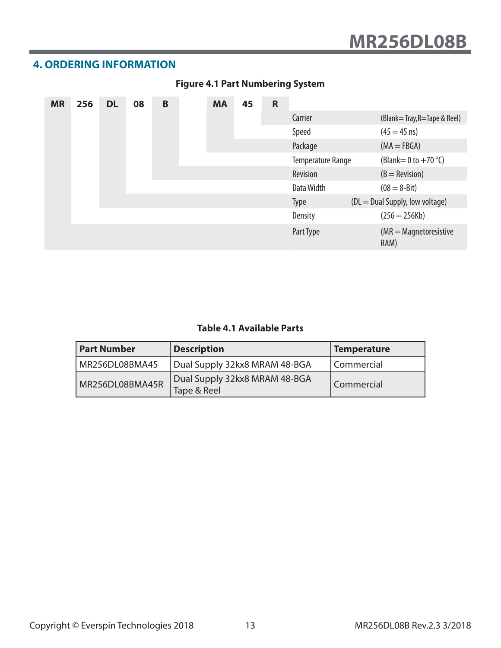# **4. ORDERING INFORMATION**

| <b>MR</b> | 256 | <b>DL</b> | 08 | $\mathbf B$ | <b>MA</b> | 45 | $\mathsf{R}$ |                          |                                      |
|-----------|-----|-----------|----|-------------|-----------|----|--------------|--------------------------|--------------------------------------|
|           |     |           |    |             |           |    |              | Carrier                  | (Blank=Tray, R=Tape & Reel)          |
|           |     |           |    |             |           |    |              | Speed                    | $(45 = 45 \text{ ns})$               |
|           |     |           |    |             |           |    |              | Package                  | $(MA = FBGA)$                        |
|           |     |           |    |             |           |    |              | <b>Temperature Range</b> | (Blank = 0 to $+70$ °C)              |
|           |     |           |    |             |           |    |              | Revision                 | $(B = \text{Revision})$              |
|           |     |           |    |             |           |    |              | Data Width               | $(08 = 8 - Bit)$                     |
|           |     |           |    |             |           |    |              | <b>Type</b>              | (DL = Dual Supply, low voltage)      |
|           |     |           |    |             |           |    |              | <b>Density</b>           | $(256 = 256Kb)$                      |
|           |     |           |    |             |           |    |              | Part Type                | $(MR = Magnetic resistance)$<br>RAM) |

# **Figure 4.1 Part Numbering System**

#### **Table 4.1 Available Parts**

| <b>Part Number</b> | <b>Description</b>                           | <b>Temperature</b> |
|--------------------|----------------------------------------------|--------------------|
| MR256DL08BMA45     | Dual Supply 32kx8 MRAM 48-BGA                | Commercial         |
| MR256DL08BMA45R    | Dual Supply 32kx8 MRAM 48-BGA<br>Tape & Reel | Commercial         |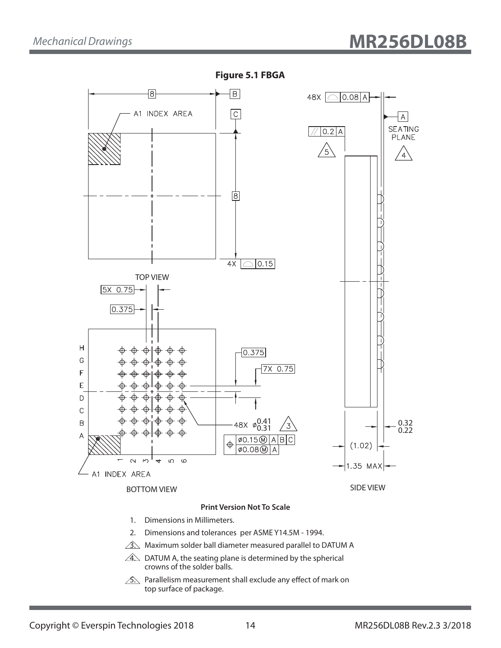

**Figure 5.1 FBGA**

 $\sqrt{3}$ . Maximum solder ball diameter measured parallel to DATUM A

 $\angle 4\angle$  DATUM A, the seating plane is determined by the spherical crowns of the solder balls.

 $\sqrt{2}$ . Parallelism measurement shall exclude any effect of mark on top surface of package.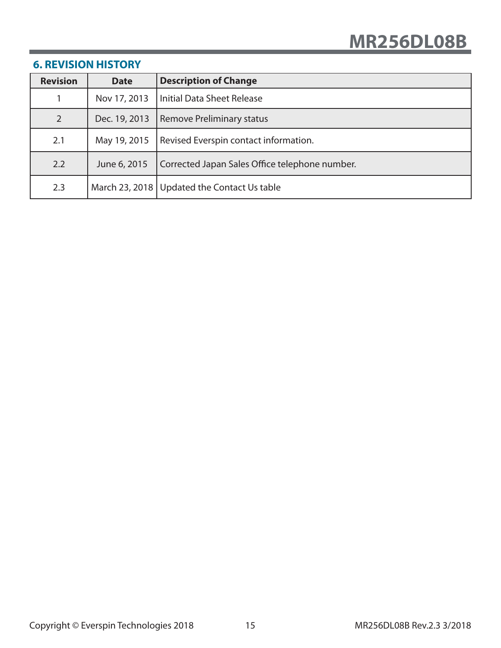| <b>Revision</b> | <b>Date</b>   | <b>Description of Change</b>                   |
|-----------------|---------------|------------------------------------------------|
|                 | Nov 17, 2013  | Initial Data Sheet Release                     |
| 2               | Dec. 19, 2013 | Remove Preliminary status                      |
| 2.1             | May 19, 2015  | Revised Everspin contact information.          |
| 2.2             | June 6, 2015  | Corrected Japan Sales Office telephone number. |
| 2.3             |               | March 23, 2018   Updated the Contact Us table  |

# **6. REVISION HISTORY**